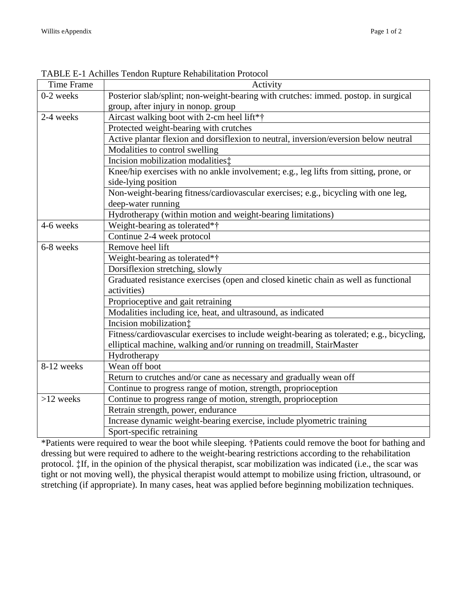| <b>Time Frame</b> | Activity                                                                                  |
|-------------------|-------------------------------------------------------------------------------------------|
| 0-2 weeks         | Posterior slab/splint; non-weight-bearing with crutches: immed. postop. in surgical       |
|                   | group, after injury in nonop. group                                                       |
| 2-4 weeks         | Aircast walking boot with 2-cm heel lift*†                                                |
|                   | Protected weight-bearing with crutches                                                    |
|                   | Active plantar flexion and dorsiflexion to neutral, inversion/eversion below neutral      |
|                   | Modalities to control swelling                                                            |
|                   | Incision mobilization modalities:                                                         |
|                   | Knee/hip exercises with no ankle involvement; e.g., leg lifts from sitting, prone, or     |
|                   | side-lying position                                                                       |
|                   | Non-weight-bearing fitness/cardiovascular exercises; e.g., bicycling with one leg,        |
|                   | deep-water running                                                                        |
|                   | Hydrotherapy (within motion and weight-bearing limitations)                               |
| 4-6 weeks         | Weight-bearing as tolerated*†                                                             |
|                   | Continue 2-4 week protocol                                                                |
| 6-8 weeks         | Remove heel lift                                                                          |
|                   | Weight-bearing as tolerated*†                                                             |
|                   | Dorsiflexion stretching, slowly                                                           |
|                   | Graduated resistance exercises (open and closed kinetic chain as well as functional       |
|                   | activities)                                                                               |
|                   | Proprioceptive and gait retraining                                                        |
|                   | Modalities including ice, heat, and ultrasound, as indicated                              |
|                   | Incision mobilization:                                                                    |
|                   | Fitness/cardiovascular exercises to include weight-bearing as tolerated; e.g., bicycling, |
|                   | elliptical machine, walking and/or running on treadmill, StairMaster                      |
|                   | Hydrotherapy                                                                              |
| 8-12 weeks        | Wean off boot                                                                             |
|                   | Return to crutches and/or cane as necessary and gradually wean off                        |
|                   | Continue to progress range of motion, strength, proprioception                            |
| $>12$ weeks       | Continue to progress range of motion, strength, proprioception                            |
|                   | Retrain strength, power, endurance                                                        |
|                   | Increase dynamic weight-bearing exercise, include plyometric training                     |
|                   | Sport-specific retraining                                                                 |

TABLE E-1 Achilles Tendon Rupture Rehabilitation Protocol

\*Patients were required to wear the boot while sleeping. †Patients could remove the boot for bathing and dressing but were required to adhere to the weight-bearing restrictions according to the rehabilitation protocol. ‡If, in the opinion of the physical therapist, scar mobilization was indicated (i.e., the scar was tight or not moving well), the physical therapist would attempt to mobilize using friction, ultrasound, or stretching (if appropriate). In many cases, heat was applied before beginning mobilization techniques.